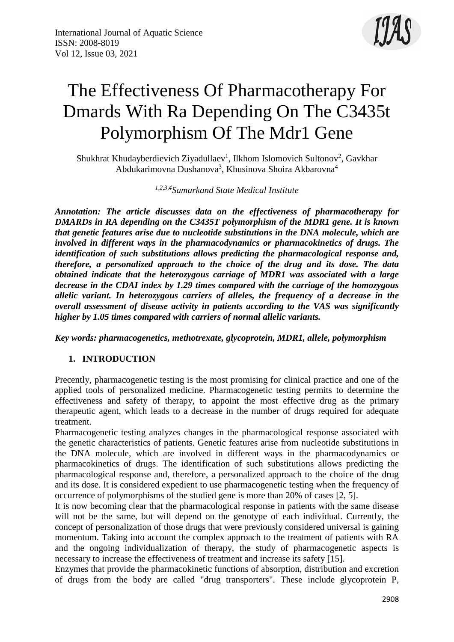

# The Effectiveness Of Pharmacotherapy For Dmards With Ra Depending On The C3435t Polymorphism Of The Mdr1 Gene

Shukhrat Khudayberdievich Ziyadullaev<sup>1</sup>, Ilkhom Islomovich Sultonov<sup>2</sup>, Gavkhar Abdukarimovna Dushanova<sup>3</sup>, Khusinova Shoira Akbarovna<sup>4</sup>

*1,2,3,4Samarkand State Medical Institute*

*Annotation: The article discusses data on the effectiveness of pharmacotherapy for DMARDs in RA depending on the C3435T polymorphism of the MDR1 gene. It is known that genetic features arise due to nucleotide substitutions in the DNA molecule, which are involved in different ways in the pharmacodynamics or pharmacokinetics of drugs. The identification of such substitutions allows predicting the pharmacological response and, therefore, a personalized approach to the choice of the drug and its dose. The data obtained indicate that the heterozygous carriage of MDR1 was associated with a large decrease in the CDAI index by 1.29 times compared with the carriage of the homozygous allelic variant. In heterozygous carriers of alleles, the frequency of a decrease in the overall assessment of disease activity in patients according to the VAS was significantly higher by 1.05 times compared with carriers of normal allelic variants.*

*Key words: pharmacogenetics, methotrexate, glycoprotein, MDR1, allele, polymorphism*

## **1. INTRODUCTION**

Precently, pharmacogenetic testing is the most promising for clinical practice and one of the applied tools of personalized medicine. Pharmacogenetic testing permits to determine the effectiveness and safety of therapy, to appoint the most effective drug as the primary therapeutic agent, which leads to a decrease in the number of drugs required for adequate treatment.

Pharmacogenetic testing analyzes changes in the pharmacological response associated with the genetic characteristics of patients. Genetic features arise from nucleotide substitutions in the DNA molecule, which are involved in different ways in the pharmacodynamics or pharmacokinetics of drugs. The identification of such substitutions allows predicting the pharmacological response and, therefore, a personalized approach to the choice of the drug and its dose. It is considered expedient to use pharmacogenetic testing when the frequency of occurrence of polymorphisms of the studied gene is more than 20% of cases [2, 5].

It is now becoming clear that the pharmacological response in patients with the same disease will not be the same, but will depend on the genotype of each individual. Currently, the concept of personalization of those drugs that were previously considered universal is gaining momentum. Taking into account the complex approach to the treatment of patients with RA and the ongoing individualization of therapy, the study of pharmacogenetic aspects is necessary to increase the effectiveness of treatment and increase its safety [15].

Enzymes that provide the pharmacokinetic functions of absorption, distribution and excretion of drugs from the body are called "drug transporters". These include glycoprotein P,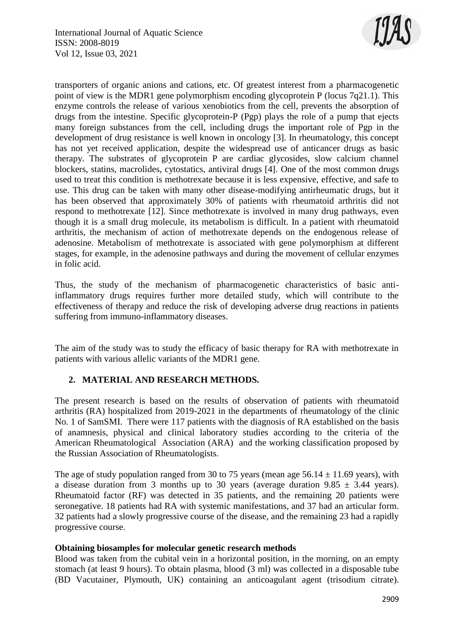

transporters of organic anions and cations, etc. Of greatest interest from a pharmacogenetic point of view is the MDR1 gene polymorphism encoding glycoprotein P (locus 7q21.1). This enzyme controls the release of various xenobiotics from the cell, prevents the absorption of drugs from the intestine. Specific glycoprotein-P (Pgp) plays the role of a pump that ejects many foreign substances from the cell, including drugs the important role of Pgp in the development of drug resistance is well known in oncology [3]. In rheumatology, this concept has not yet received application, despite the widespread use of anticancer drugs as basic therapy. The substrates of glycoprotein P are cardiac glycosides, slow calcium channel blockers, statins, macrolides, cytostatics, antiviral drugs [4]. One of the most common drugs used to treat this condition is methotrexate because it is less expensive, effective, and safe to use. This drug can be taken with many other disease-modifying antirheumatic drugs, but it has been observed that approximately 30% of patients with rheumatoid arthritis did not respond to methotrexate [12]. Since methotrexate is involved in many drug pathways, even though it is a small drug molecule, its metabolism is difficult. In a patient with rheumatoid arthritis, the mechanism of action of methotrexate depends on the endogenous release of adenosine. Metabolism of methotrexate is associated with gene polymorphism at different stages, for example, in the adenosine pathways and during the movement of cellular enzymes in folic acid.

Thus, the study of the mechanism of pharmacogenetic characteristics of basic antiinflammatory drugs requires further more detailed study, which will contribute to the effectiveness of therapy and reduce the risk of developing adverse drug reactions in patients suffering from immuno-inflammatory diseases.

The aim of the study was to study the efficacy of basic therapy for RA with methotrexate in patients with various allelic variants of the MDR1 gene.

### **2. MATERIAL AND RESEARCH METHODS.**

The present research is based on the results of observation of patients with rheumatoid arthritis (RA) hospitalized from 2019-2021 in the departments of rheumatology of the clinic No. 1 of SamSMI. There were 117 patients with the diagnosis of RA established on the basis of anamnesis, physical and clinical laboratory studies according to the criteria of the American Rheumatological Association (ARA) and the working classification proposed by the Russian Association of Rheumatologists.

The age of study population ranged from 30 to 75 years (mean age  $56.14 \pm 11.69$  years), with a disease duration from 3 months up to 30 years (average duration  $9.85 \pm 3.44$  years). Rheumatoid factor (RF) was detected in 35 patients, and the remaining 20 patients were seronegative. 18 patients had RA with systemic manifestations, and 37 had an articular form. 32 patients had a slowly progressive course of the disease, and the remaining 23 had a rapidly progressive course.

#### **Obtaining biosamples for molecular genetic research methods**

Blood was taken from the cubital vein in a horizontal position, in the morning, on an empty stomach (at least 9 hours). To obtain plasma, blood (3 ml) was collected in a disposable tube (BD Vacutainer, Plymouth, UK) containing an anticoagulant agent (trisodium citrate).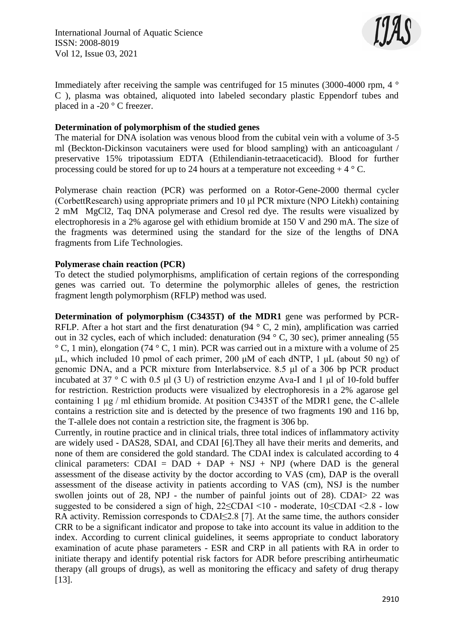

Immediately after receiving the sample was centrifuged for 15 minutes (3000-4000 rpm, 4 ° C ), plasma was obtained, aliquoted into labeled secondary plastic Eppendorf tubes and placed in a -20 ° C freezer.

#### **Determination of polymorphism of the studied genes**

The material for DNA isolation was venous blood from the cubital vein with a volume of 3-5 ml (Beckton-Dickinson vacutainers were used for blood sampling) with an anticoagulant / preservative 15% tripotassium EDTA (Ethilendianin-tetraaceticacid). Blood for further processing could be stored for up to 24 hours at a temperature not exceeding  $+ 4 \degree C$ .

Polymerase chain reaction (PCR) was performed on a Rotor-Gene-2000 thermal cycler (CorbettResearch) using appropriate primers and 10 μl PCR mixture (NPO Litekh) containing 2 mM MgCl2, Taq DNA polymerase and Cresol red dye. The results were visualized by electrophoresis in a 2% agarose gel with ethidium bromide at 150 V and 290 mA. The size of the fragments was determined using the standard for the size of the lengths of DNA fragments from Life Technologies.

#### **Polymerase chain reaction (PCR)**

To detect the studied polymorphisms, amplification of certain regions of the corresponding genes was carried out. To determine the polymorphic alleles of genes, the restriction fragment length polymorphism (RFLP) method was used.

**Determination of polymorphism (C3435T) of the MDR1** gene was performed by PCR-RFLP. After a hot start and the first denaturation (94 ° C, 2 min), amplification was carried out in 32 cycles, each of which included: denaturation (94 ° C, 30 sec), primer annealing (55  $\degree$  C, 1 min), elongation (74  $\degree$  C, 1 min). PCR was carried out in a mixture with a volume of 25 μL, which included 10 pmol of each primer, 200 μM of each dNTP, 1 μL (about 50 ng) of genomic DNA, and a PCR mixture from Interlabservice. 8.5 μl of a 306 bp PCR product incubated at 37 ° C with 0.5 μl (3 U) of restriction enzyme Ava-I and 1 μl of 10-fold buffer for restriction. Restriction products were visualized by electrophoresis in a 2% agarose gel containing 1 μg / ml ethidium bromide. At position C3435T of the MDR1 gene, the C-allele contains a restriction site and is detected by the presence of two fragments 190 and 116 bp, the T-allele does not contain a restriction site, the fragment is 306 bp.

Currently, in routine practice and in clinical trials, three total indices of inflammatory activity are widely used - DAS28, SDAI, and CDAI [6].They all have their merits and demerits, and none of them are considered the gold standard. The CDAI index is calculated according to 4 clinical parameters:  $CDAI = DAD + DAP + NSJ + NPJ$  (where DAD is the general assessment of the disease activity by the doctor according to VAS (cm), DAP is the overall assessment of the disease activity in patients according to VAS (cm), NSJ is the number swollen joints out of 28, NPJ - the number of painful joints out of 28). CDAI> 22 was suggested to be considered a sign of high, 22≤CDAI <10 - moderate, 10≤CDAI <2.8 - low RA activity. Remission corresponds to CDAI≤2.8 [7]. At the same time, the authors consider CRR to be a significant indicator and propose to take into account its value in addition to the index. According to current clinical guidelines, it seems appropriate to conduct laboratory examination of acute phase parameters - ESR and CRP in all patients with RA in order to initiate therapy and identify potential risk factors for ADR before prescribing antirheumatic therapy (all groups of drugs), as well as monitoring the efficacy and safety of drug therapy [13].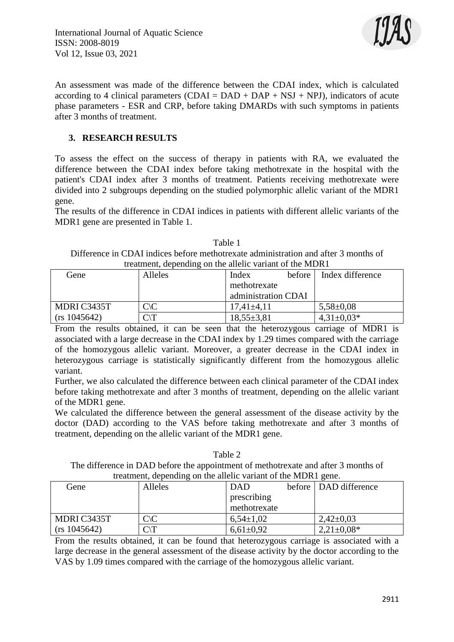International Journal of Aquatic Science ISSN: 2008-8019 Vol 12, Issue 03, 2021



An assessment was made of the difference between the CDAI index, which is calculated according to 4 clinical parameters (CDAI =  $DAD + DAP + NSJ + NPJ$ ), indicators of acute phase parameters - ESR and CRP, before taking DMARDs with such symptoms in patients after 3 months of treatment.

#### **3. RESEARCH RESULTS**

To assess the effect on the success of therapy in patients with RA, we evaluated the difference between the CDAI index before taking methotrexate in the hospital with the patient's CDAI index after 3 months of treatment. Patients receiving methotrexate were divided into 2 subgroups depending on the studied polymorphic allelic variant of the MDR1 gene.

The results of the difference in CDAI indices in patients with different allelic variants of the MDR1 gene are presented in Table 1.

Table 1 Difference in CDAI indices before methotrexate administration and after 3 months of treatment, depending on the allelic variant of the MDR1

| Gene         | <b>Alleles</b>  | Index               | before | Index difference |
|--------------|-----------------|---------------------|--------|------------------|
|              |                 | methotrexate        |        |                  |
|              |                 | administration CDAI |        |                  |
| MDRI C3435T  | $C\backslash C$ | $17.41 \pm 4.11$    |        | $5,58 \pm 0.08$  |
| (rs 1045642) |                 | $18,55 \pm 3,81$    |        | $4,31\pm0,03*$   |

From the results obtained, it can be seen that the heterozygous carriage of MDR1 is associated with a large decrease in the CDAI index by 1.29 times compared with the carriage of the homozygous allelic variant. Moreover, a greater decrease in the CDAI index in heterozygous carriage is statistically significantly different from the homozygous allelic variant.

Further, we also calculated the difference between each clinical parameter of the CDAI index before taking methotrexate and after 3 months of treatment, depending on the allelic variant of the MDR1 gene.

We calculated the difference between the general assessment of the disease activity by the doctor (DAD) according to the VAS before taking methotrexate and after 3 months of treatment, depending on the allelic variant of the MDR1 gene.

Table 2 The difference in DAD before the appointment of methotrexate and after 3 months of treatment, depending on the allelic variant of the MDR1 gene.

| Gene         | Alleles        | <b>DAD</b>    | before   DAD difference |
|--------------|----------------|---------------|-------------------------|
|              |                | prescribing   |                         |
|              |                | methotrexate  |                         |
| MDRI C3435T  | $C\setminus C$ | $6,54\pm1,02$ | $2,42\pm0.03$           |
| (rs 1045642) |                | $6,61\pm0.92$ | $2,21\pm0.08*$          |

From the results obtained, it can be found that heterozygous carriage is associated with a large decrease in the general assessment of the disease activity by the doctor according to the VAS by 1.09 times compared with the carriage of the homozygous allelic variant.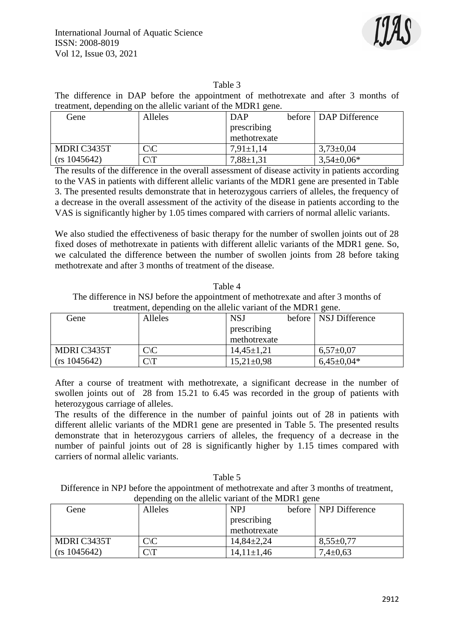

#### Table 3

The difference in DAP before the appointment of methotrexate and after 3 months of treatment, depending on the allelic variant of the MDR1 gene.

| Gene         | <b>Alleles</b> | <b>DAP</b>      | before   DAP Difference |
|--------------|----------------|-----------------|-------------------------|
|              |                | prescribing     |                         |
|              |                | methotrexate    |                         |
| MDRI C3435T  | $C\setminus C$ | $7.91 \pm 1.14$ | $3.73 \pm 0.04$         |
| (rs 1045642) | $C\setminus T$ | $7,88 \pm 1,31$ | $3,54\pm0,06*$          |

The results of the difference in the overall assessment of disease activity in patients according to the VAS in patients with different allelic variants of the MDR1 gene are presented in Table 3. The presented results demonstrate that in heterozygous carriers of alleles, the frequency of a decrease in the overall assessment of the activity of the disease in patients according to the VAS is significantly higher by 1.05 times compared with carriers of normal allelic variants.

We also studied the effectiveness of basic therapy for the number of swollen joints out of 28 fixed doses of methotrexate in patients with different allelic variants of the MDR1 gene. So, we calculated the difference between the number of swollen joints from 28 before taking methotrexate and after 3 months of treatment of the disease.

Table 4 The difference in NSJ before the appointment of methotrexate and after 3 months of treatment, depending on the allelic variant of the MDR1 gene.

| a cauncing appending on the anene variant of the midster gener |                 |                |  |                         |
|----------------------------------------------------------------|-----------------|----------------|--|-------------------------|
| Gene                                                           | <b>Alleles</b>  | <b>NSJ</b>     |  | before   NSJ Difference |
|                                                                |                 | prescribing    |  |                         |
|                                                                |                 | methotrexate   |  |                         |
| MDRI C3435T                                                    | $C\backslash C$ | $14,45\pm1,21$ |  | $6,57\pm0,07$           |
| (rs 1045642)                                                   | $C\backslash T$ | $15,21\pm0.98$ |  | $6,45\pm0,04*$          |

After a course of treatment with methotrexate, a significant decrease in the number of swollen joints out of 28 from 15.21 to 6.45 was recorded in the group of patients with heterozygous carriage of alleles.

The results of the difference in the number of painful joints out of 28 in patients with different allelic variants of the MDR1 gene are presented in Table 5. The presented results demonstrate that in heterozygous carriers of alleles, the frequency of a decrease in the number of painful joints out of 28 is significantly higher by 1.15 times compared with carriers of normal allelic variants.

Table 5 Difference in NPJ before the appointment of methotrexate and after 3 months of treatment, depending on the allelic variant of the MDR1 gene

| Gene         | Alleles         | <b>NPJ</b>     | before   NPJ Difference |
|--------------|-----------------|----------------|-------------------------|
|              |                 | prescribing    |                         |
|              |                 | methotrexate   |                         |
| MDRI C3435T  | $C\setminus C$  | $14,84\pm2,24$ | $8,55 \pm 0.77$         |
| (rs 1045642) | $\lnot$ $\lnot$ | $14,11\pm1,46$ | $7,4 \pm 0.63$          |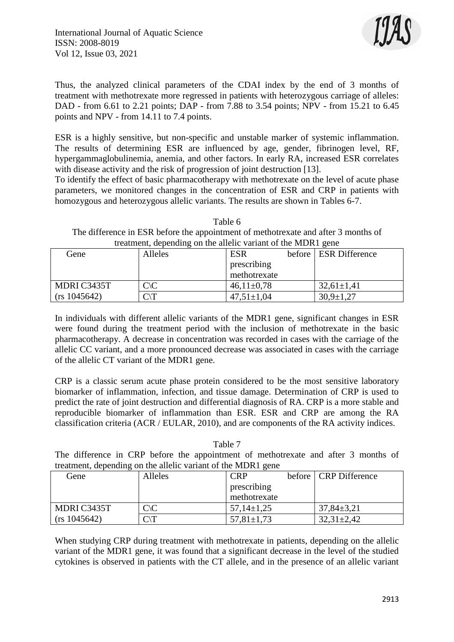

Thus, the analyzed clinical parameters of the CDAI index by the end of 3 months of treatment with methotrexate more regressed in patients with heterozygous carriage of alleles: DAD - from 6.61 to 2.21 points; DAP - from 7.88 to 3.54 points; NPV - from 15.21 to 6.45 points and NPV - from 14.11 to 7.4 points.

ESR is a highly sensitive, but non-specific and unstable marker of systemic inflammation. The results of determining ESR are influenced by age, gender, fibrinogen level, RF, hypergammaglobulinemia, anemia, and other factors. In early RA, increased ESR correlates with disease activity and the risk of progression of joint destruction [13].

To identify the effect of basic pharmacotherapy with methotrexate on the level of acute phase parameters, we monitored changes in the concentration of ESR and CRP in patients with homozygous and heterozygous allelic variants. The results are shown in Tables 6-7.

Table 6 The difference in ESR before the appointment of methotrexate and after 3 months of treatment, depending on the allelic variant of the MDR1 gene

| Gene         | Alleles        | <b>ESR</b>       | before   ESR Difference |
|--------------|----------------|------------------|-------------------------|
|              |                | prescribing      |                         |
|              |                | methotrexate     |                         |
| MDRI C3435T  | $C\setminus C$ | $46,11\pm0.78$   | $32,61 \pm 1,41$        |
| (rs 1045642) |                | $47,51 \pm 1,04$ | $30,9 \pm 1,27$         |

In individuals with different allelic variants of the MDR1 gene, significant changes in ESR were found during the treatment period with the inclusion of methotrexate in the basic pharmacotherapy. A decrease in concentration was recorded in cases with the carriage of the allelic CC variant, and a more pronounced decrease was associated in cases with the carriage of the allelic CT variant of the MDR1 gene.

CRP is a classic serum acute phase protein considered to be the most sensitive laboratory biomarker of inflammation, infection, and tissue damage. Determination of CRP is used to predict the rate of joint destruction and differential diagnosis of RA. CRP is a more stable and reproducible biomarker of inflammation than ESR. ESR and CRP are among the RA classification criteria (ACR / EULAR, 2010), and are components of the RA activity indices.

#### Table 7

The difference in CRP before the appointment of methotrexate and after 3 months of treatment, depending on the allelic variant of the MDR1 gene

| Gene         | <b>Alleles</b> | <b>CRP</b>       | before CRP Difference |
|--------------|----------------|------------------|-----------------------|
|              |                | prescribing      |                       |
|              |                | methotrexate     |                       |
| MDRI C3435T  | $C\setminus C$ | $57,14\pm1.25$   | $37,84 \pm 3,21$      |
| (rs 1045642) | $\cap$ T       | $57,81 \pm 1,73$ | $32,31\pm2,42$        |

When studying CRP during treatment with methotrexate in patients, depending on the allelic variant of the MDR1 gene, it was found that a significant decrease in the level of the studied cytokines is observed in patients with the CT allele, and in the presence of an allelic variant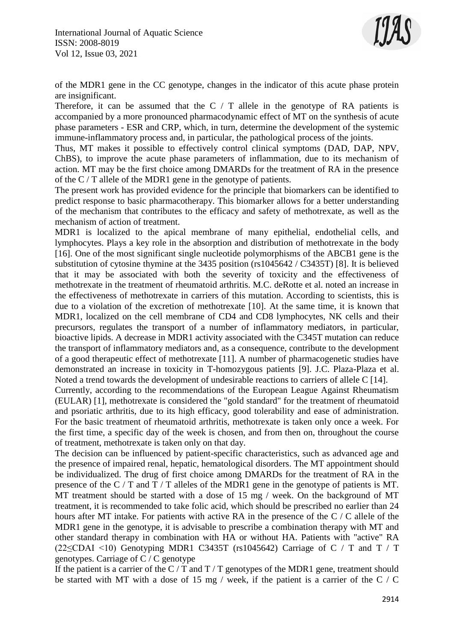International Journal of Aquatic Science ISSN: 2008-8019 Vol 12, Issue 03, 2021



of the MDR1 gene in the CC genotype, changes in the indicator of this acute phase protein are insignificant.

Therefore, it can be assumed that the  $C / T$  allele in the genotype of RA patients is accompanied by a more pronounced pharmacodynamic effect of MT on the synthesis of acute phase parameters - ESR and CRP, which, in turn, determine the development of the systemic immune-inflammatory process and, in particular, the pathological process of the joints.

Thus, MT makes it possible to effectively control clinical symptoms (DAD, DAP, NPV, ChBS), to improve the acute phase parameters of inflammation, due to its mechanism of action. MT may be the first choice among DMARDs for the treatment of RA in the presence of the C / T allele of the MDR1 gene in the genotype of patients.

The present work has provided evidence for the principle that biomarkers can be identified to predict response to basic pharmacotherapy. This biomarker allows for a better understanding of the mechanism that contributes to the efficacy and safety of methotrexate, as well as the mechanism of action of treatment.

MDR1 is localized to the apical membrane of many epithelial, endothelial cells, and lymphocytes. Plays a key role in the absorption and distribution of methotrexate in the body [16]. One of the most significant single nucleotide polymorphisms of the ABCB1 gene is the substitution of cytosine thymine at the 3435 position (rs1045642 / C3435T) [8]. It is believed that it may be associated with both the severity of toxicity and the effectiveness of methotrexate in the treatment of rheumatoid arthritis. M.C. deRotte et al. noted an increase in the effectiveness of methotrexate in carriers of this mutation. According to scientists, this is due to a violation of the excretion of methotrexate [10]. At the same time, it is known that MDR1, localized on the cell membrane of CD4 and CD8 lymphocytes, NK cells and their precursors, regulates the transport of a number of inflammatory mediators, in particular, bioactive lipids. A decrease in MDR1 activity associated with the C345T mutation can reduce the transport of inflammatory mediators and, as a consequence, contribute to the development of a good therapeutic effect of methotrexate [11]. A number of pharmacogenetic studies have demonstrated an increase in toxicity in T-homozygous patients [9]. J.C. Plaza-Plaza et al. Noted a trend towards the development of undesirable reactions to carriers of allele C [14].

Currently, according to the recommendations of the European League Against Rheumatism (EULAR) [1], methotrexate is considered the "gold standard" for the treatment of rheumatoid and psoriatic arthritis, due to its high efficacy, good tolerability and ease of administration. For the basic treatment of rheumatoid arthritis, methotrexate is taken only once a week. For the first time, a specific day of the week is chosen, and from then on, throughout the course of treatment, methotrexate is taken only on that day.

The decision can be influenced by patient-specific characteristics, such as advanced age and the presence of impaired renal, hepatic, hematological disorders. The MT appointment should be individualized. The drug of first choice among DMARDs for the treatment of RA in the presence of the C / T and T / T alleles of the MDR1 gene in the genotype of patients is MT. MT treatment should be started with a dose of 15 mg / week. On the background of MT treatment, it is recommended to take folic acid, which should be prescribed no earlier than 24 hours after MT intake. For patients with active RA in the presence of the C / C allele of the MDR1 gene in the genotype, it is advisable to prescribe a combination therapy with MT and other standard therapy in combination with HA or without HA. Patients with "active" RA (22≤CDAI <10) Genotyping MDR1 C3435T (rs1045642) Carriage of C / T and T / T genotypes. Carriage of C / C genotype

If the patient is a carrier of the  $C/T$  and  $T/T$  genotypes of the MDR1 gene, treatment should be started with MT with a dose of 15 mg / week, if the patient is a carrier of the C / C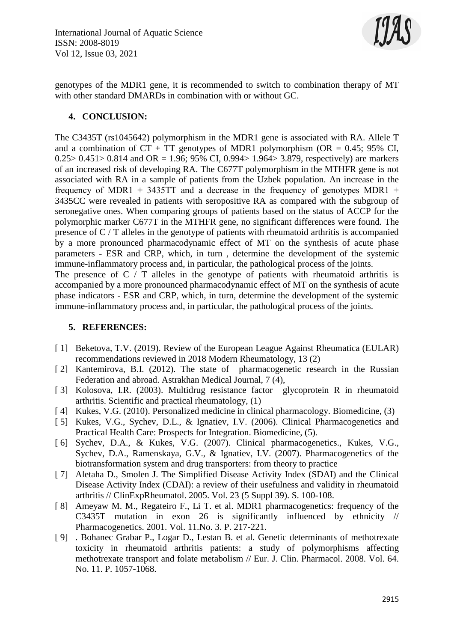

genotypes of the MDR1 gene, it is recommended to switch to combination therapy of MT with other standard DMARDs in combination with or without GC.

#### **4. CONCLUSION:**

The C3435T (rs1045642) polymorphism in the MDR1 gene is associated with RA. Allele T and a combination of  $CT + TT$  genotypes of MDR1 polymorphism (OR = 0.45; 95% CI, 0.25 > 0.451 > 0.814 and OR = 1.96; 95% CI, 0.994 > 1.964 > 3.879, respectively) are markers of an increased risk of developing RA. The C677T polymorphism in the MTHFR gene is not associated with RA in a sample of patients from the Uzbek population. An increase in the frequency of MDR1 + 3435TT and a decrease in the frequency of genotypes MDR1 + 3435CC were revealed in patients with seropositive RA as compared with the subgroup of seronegative ones. When comparing groups of patients based on the status of ACCP for the polymorphic marker C677T in the MTHFR gene, no significant differences were found. The presence of C / T alleles in the genotype of patients with rheumatoid arthritis is accompanied by a more pronounced pharmacodynamic effect of MT on the synthesis of acute phase parameters - ESR and CRP, which, in turn , determine the development of the systemic immune-inflammatory process and, in particular, the pathological process of the joints.

The presence of  $C / T$  alleles in the genotype of patients with rheumatoid arthritis is accompanied by a more pronounced pharmacodynamic effect of MT on the synthesis of acute phase indicators - ESR and CRP, which, in turn, determine the development of the systemic immune-inflammatory process and, in particular, the pathological process of the joints.

#### **5. REFERENCES:**

- [1] Beketova, T.V. (2019). Review of the European League Against Rheumatica (EULAR) recommendations reviewed in 2018 Modern Rheumatology, 13 (2)
- [2] Kantemirova, B.I. (2012). The state of pharmacogenetic research in the Russian Federation and abroad. Astrakhan Medical Journal, 7 (4),
- [ 3] Kolosova, I.R. (2003). Multidrug resistance factor glycoprotein R in rheumatoid arthritis. Scientific and practical rheumatology, (1)
- [ 4] Kukes, V.G. (2010). Personalized medicine in clinical pharmacology. Biomedicine, (3)
- [ 5] Kukes, V.G., Sychev, D.L., & Ignatiev, I.V. (2006). Clinical Pharmacogenetics and Practical Health Care: Prospects for Integration. Biomedicine, (5).
- [ 6] Sychev, D.A., & Kukes, V.G. (2007). Clinical pharmacogenetics., Kukes, V.G., Sychev, D.A., Ramenskaya, G.V., & Ignatiev, I.V. (2007). Pharmacogenetics of the biotransformation system and drug transporters: from theory to practice
- [ 7] Aletaha D., Smolen J. The Simplified Disease Activity Index (SDAI) and the Clinical Disease Activity Index (CDAI): a review of their usefulness and validity in rheumatoid arthritis // ClinExpRheumatol. 2005. Vol. 23 (5 Suppl 39). S. 100-108.
- [ 8] Ameyaw M. M., Regateiro F., Li T. et al. MDR1 pharmacogenetics: frequency of the C3435T mutation in exon 26 is significantly influenced by ethnicity // Pharmacogenetics. 2001. Vol. 11.No. 3. P. 217-221.
- [ 9] . Bohanec Grabar P., Logar D., Lestan B. et al. Genetic determinants of methotrexate toxicity in rheumatoid arthritis patients: a study of polymorphisms affecting methotrexate transport and folate metabolism // Eur. J. Clin. Pharmacol. 2008. Vol. 64. No. 11. P. 1057-1068.